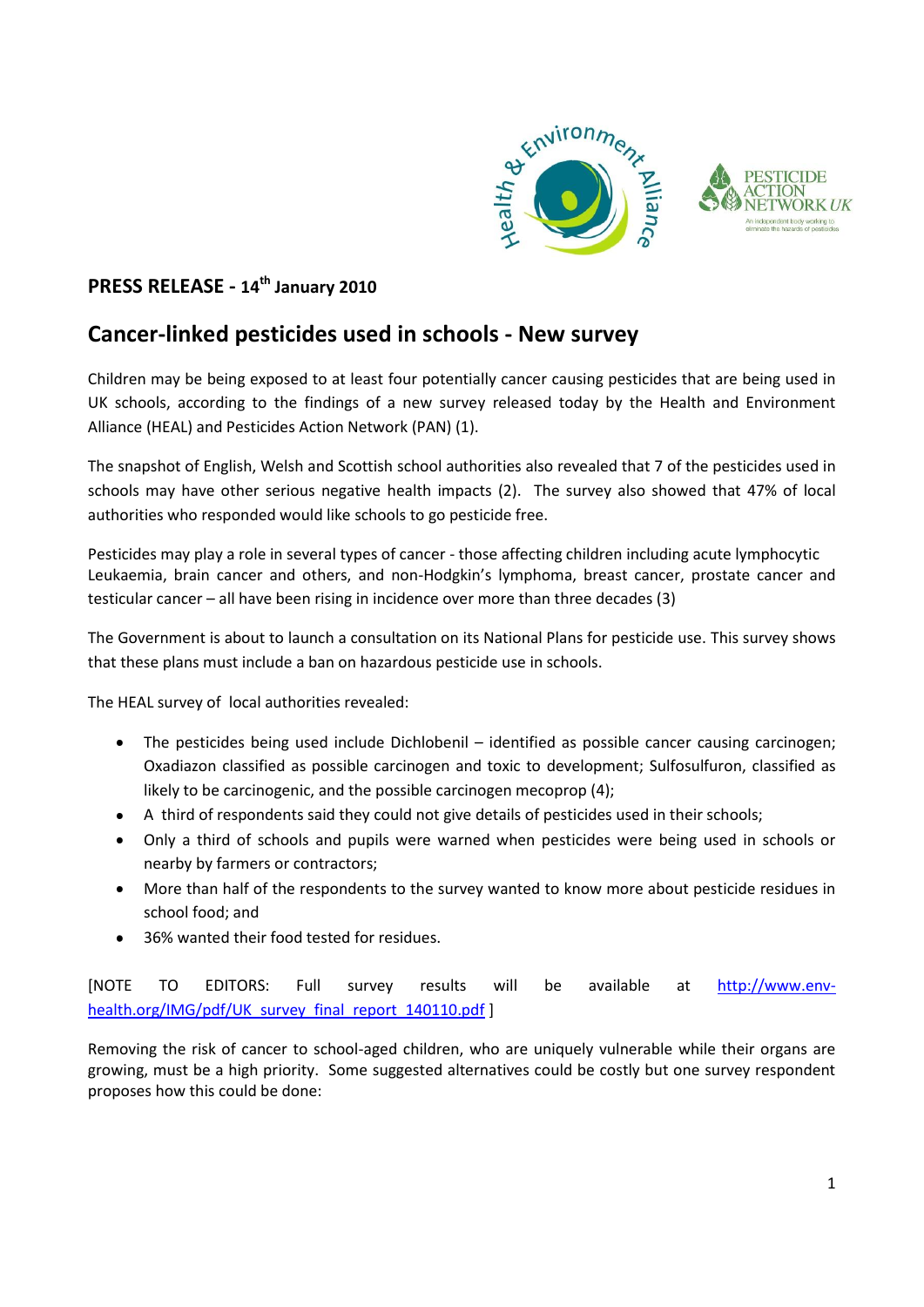

## **PRESS RELEASE - 14th January 2010**

## **Cancer-linked pesticides used in schools - New survey**

Children may be being exposed to at least four potentially cancer causing pesticides that are being used in UK schools, according to the findings of a new survey released today by the Health and Environment Alliance (HEAL) and Pesticides Action Network (PAN) (1).

The snapshot of English, Welsh and Scottish school authorities also revealed that 7 of the pesticides used in schools may have other serious negative health impacts (2). The survey also showed that 47% of local authorities who responded would like schools to go pesticide free.

Pesticides may play a role in several types of cancer - those affecting children including acute lymphocytic Leukaemia, brain cancer and others, and non-Hodgkin's lymphoma, breast cancer, prostate cancer and testicular cancer – all have been rising in incidence over more than three decades (3)

The Government is about to launch a consultation on its National Plans for pesticide use. This survey shows that these plans must include a ban on hazardous pesticide use in schools.

The HEAL survey of local authorities revealed:

- The pesticides being used include Dichlobenil identified as possible cancer causing carcinogen; Oxadiazon classified as possible carcinogen and toxic to development; Sulfosulfuron, classified as likely to be carcinogenic, and the possible carcinogen mecoprop (4);
- A third of respondents said they could not give details of pesticides used in their schools;
- Only a third of schools and pupils were warned when pesticides were being used in schools or  $\bullet$ nearby by farmers or contractors;
- More than half of the respondents to the survey wanted to know more about pesticide residues in school food; and
- 36% wanted their food tested for residues.

[NOTE TO EDITORS: Full survey results will be available at [http://www.env](http://www.env-health.org/IMG/pdf/UK_survey_final_report_140110.pdf)[health.org/IMG/pdf/UK\\_survey\\_final\\_report\\_140110.pdf](http://www.env-health.org/IMG/pdf/UK_survey_final_report_140110.pdf) ]

Removing the risk of cancer to school-aged children, who are uniquely vulnerable while their organs are growing, must be a high priority. Some suggested alternatives could be costly but one survey respondent proposes how this could be done: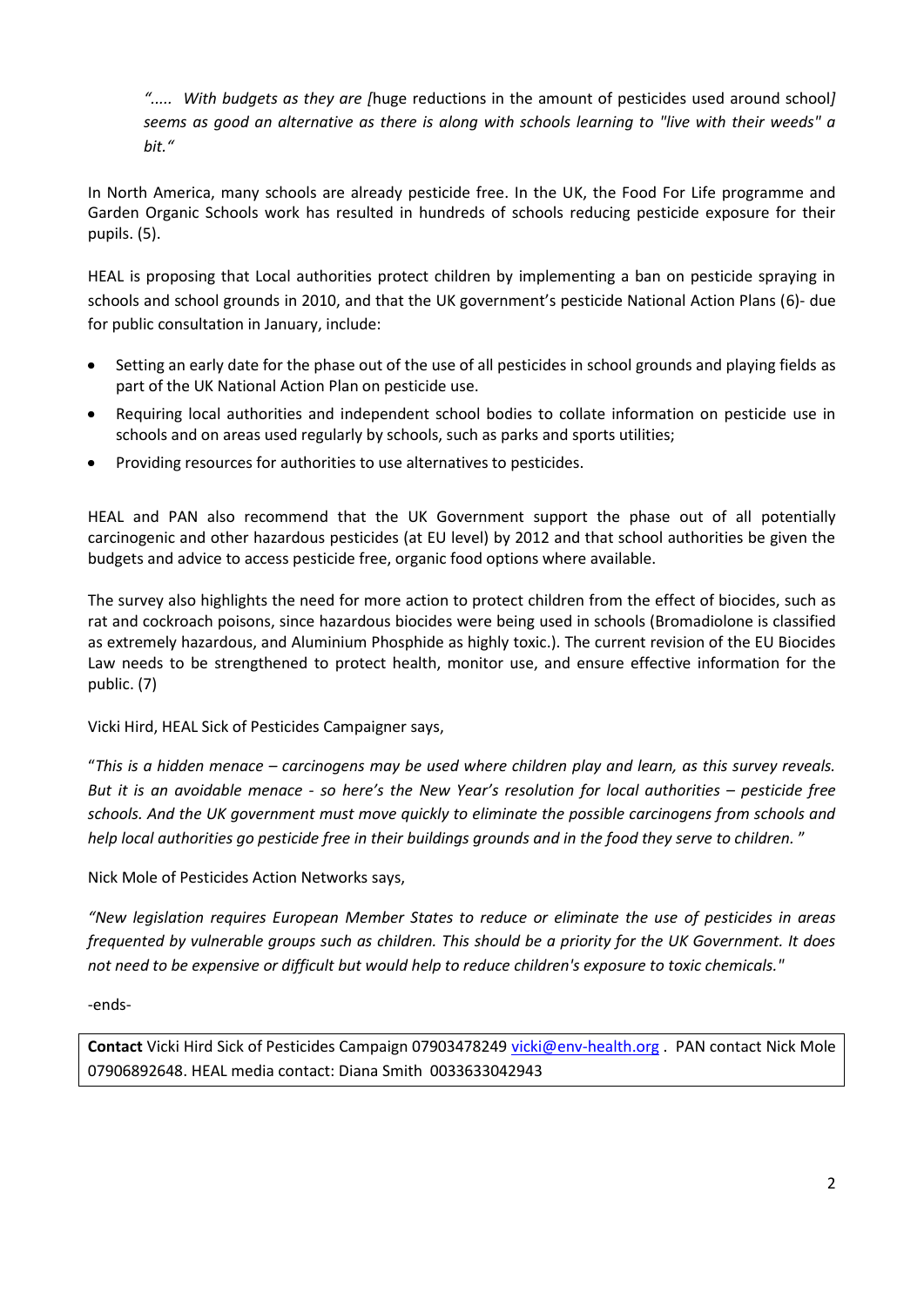*"..... With budgets as they are [*huge reductions in the amount of pesticides used around school*] seems as good an alternative as there is along with schools learning to "live with their weeds" a bit."* 

In North America, many schools are already pesticide free. In the UK, the Food For Life programme and Garden Organic Schools work has resulted in hundreds of schools reducing pesticide exposure for their pupils. (5).

HEAL is proposing that Local authorities protect children by implementing a ban on pesticide spraying in schools and school grounds in 2010, and that the UK government's pesticide National Action Plans (6)- due for public consultation in January, include:

- Setting an early date for the phase out of the use of all pesticides in school grounds and playing fields as part of the UK National Action Plan on pesticide use.
- Requiring local authorities and independent school bodies to collate information on pesticide use in schools and on areas used regularly by schools, such as parks and sports utilities;
- Providing resources for authorities to use alternatives to pesticides.

HEAL and PAN also recommend that the UK Government support the phase out of all potentially carcinogenic and other hazardous pesticides (at EU level) by 2012 and that school authorities be given the budgets and advice to access pesticide free, organic food options where available.

The survey also highlights the need for more action to protect children from the effect of biocides, such as rat and cockroach poisons, since hazardous biocides were being used in schools (Bromadiolone is classified as extremely hazardous, and Aluminium Phosphide as highly toxic.). The current revision of the EU Biocides Law needs to be strengthened to protect health, monitor use, and ensure effective information for the public. (7)

Vicki Hird, HEAL Sick of Pesticides Campaigner says,

"*This is a hidden menace – carcinogens may be used where children play and learn, as this survey reveals. But it is an avoidable menace - so here's the New Year's resolution for local authorities – pesticide free schools. And the UK government must move quickly to eliminate the possible carcinogens from schools and help local authorities go pesticide free in their buildings grounds and in the food they serve to children.* "

Nick Mole of Pesticides Action Networks says,

*"New legislation requires European Member States to reduce or eliminate the use of pesticides in areas frequented by vulnerable groups such as children. This should be a priority for the UK Government. It does not need to be expensive or difficult but would help to reduce children's exposure to toxic chemicals."*

-ends-

**Contact** Vicki Hird Sick of Pesticides Campaign 07903478249 [vicki@env-health.org](mailto:vicki@en-health.org) . PAN contact Nick Mole 07906892648. HEAL media contact: Diana Smith 0033633042943